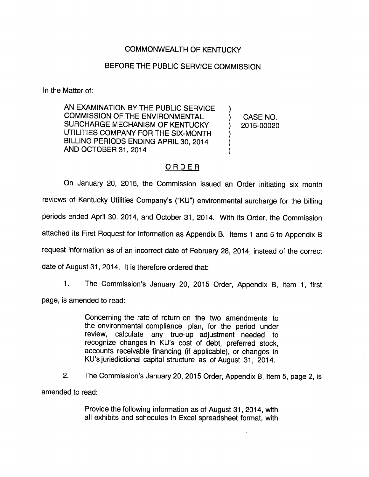## COMMONWEALTH OF KENTUCKY

## BEFORE THE PUBLIC SERVICE COMMISSION

In the Matter of:

AN EXAMINATION BY THE PUBLIC SERVICE COMMISSION OFTHE ENVIRONMENTAL ) CASE NO. SURCHARGE MECHANISM OF KENTUCKY (2015-00020) UTILITIES COMPANY FOR THE SIX-MONTH BILLING PERIODS ENDING APRIL 30, 2014 AND OCTOBER 31, 2014

 $\lambda$ 

 $\mathcal{Y}$  $\lambda$ 

## ORDER

On January 20, 2015, the Commission issued an Order initiating six month reviews of Kentucky Utilities Company's ("KU") environmental surcharge for the billing periods ended April 30, 2014, and October 31, 2014. With its Order, the Commission attached its First Request for Information as Appendix B. Items 1 and 5 to Appendix B request information as of an incorrect date of February 28, 2014, instead of the correct date of August 31, 2014. It is therefore ordered that:

1. The Commission's January 20, 2015 Order, Appendix B, Item 1, first page, is amended to read:

> Concerning the rate of return on the two amendments to the environmental compliance plan, for the period under review, calculate any true-up adjustment needed to recognize changes in KU's cost of debt, preferred stock, accounts receivable financing (if applicable), or changes in KU's jurisdictional capital structure as of August 31, 2014.

2. The Commission's January 20, 2015 Order, Appendix B, Item 5, page 2, is amended to read:

> Provide the following information as of August 31, 2014, with all exhibits and schedules in Excel spreadsheet format, with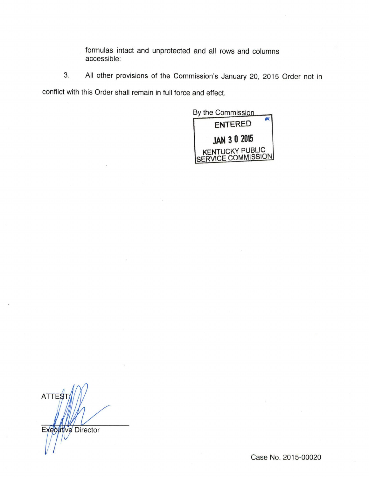formulas intact and unprotected and all rows and columns accessible;

3. All other provisions of the Commission's January 20, 2015 Order not in

conflict with this Order shall remain in full force and effect.



ATTES Executive Director

Case No. 2015-00020